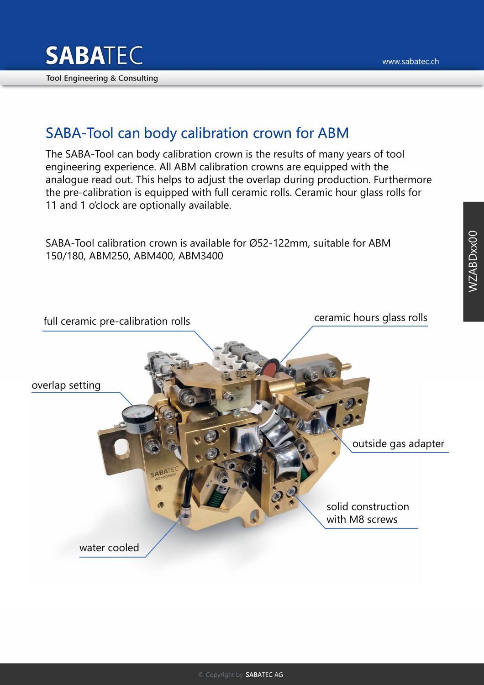

## SABA-Tool can body calibration crown for ABM

The SABA-Tool can body calibration crown is the results of many years of tool engineering experience. All ABM calibration crowns are equipped with the analogue read out. This helps to adjust the overlap during production. Furthermore the pre-calibration is equipped with full ceramic rolls. Ceramic hour glass rolls for 11 and 1 o'clock are optionally available.

SABA-Tool calibration crown is available for Ø52-122mm, suitable for ABM 150/180, ABM250, ABM400, ABM3400

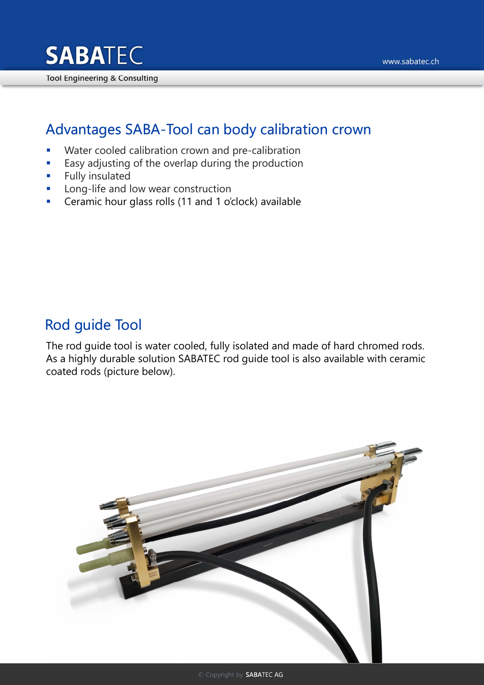

### Advantages SABA-Tool can body calibration crown

- **Water cooled calibration crown and pre-calibration**
- **Easy adjusting of the overlap during the production**
- **Fully insulated**
- **Long-life and low wear construction**
- Ceramic hour glass rolls (11 and 1 o'clock) available

### Rod guide Tool

The rod guide tool is water cooled, fully isolated and made of hard chromed rods. As a highly durable solution SABATEC rod guide tool is also available with ceramic coated rods (picture below).